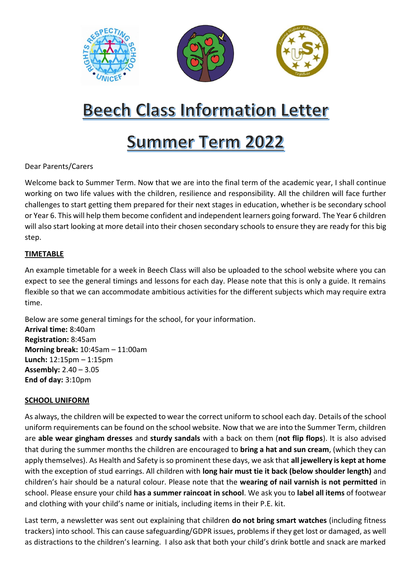

# **Beech Class Information Letter**

# **Summer Term 2022**

Dear Parents/Carers

Welcome back to Summer Term. Now that we are into the final term of the academic year, I shall continue working on two life values with the children, resilience and responsibility. All the children will face further challenges to start getting them prepared for their next stages in education, whether is be secondary school or Year 6. This will help them become confident and independent learners going forward. The Year 6 children will also start looking at more detail into their chosen secondary schools to ensure they are ready for this big step.

### **TIMETABLE**

An example timetable for a week in Beech Class will also be uploaded to the school website where you can expect to see the general timings and lessons for each day. Please note that this is only a guide. It remains flexible so that we can accommodate ambitious activities for the different subjects which may require extra time.

Below are some general timings for the school, for your information. **Arrival time:** 8:40am **Registration:** 8:45am **Morning break:** 10:45am – 11:00am **Lunch:** 12:15pm – 1:15pm **Assembly:** 2.40 – 3.05 **End of day:** 3:10pm

#### **SCHOOL UNIFORM**

As always, the children will be expected to wear the correct uniform to school each day. Details of the school uniform requirements can be found on the school website. Now that we are into the Summer Term, children are **able wear gingham dresses** and **sturdy sandals** with a back on them (**not flip flops**). It is also advised that during the summer months the children are encouraged to **bring a hat and sun cream**, (which they can apply themselves). As Health and Safety is so prominent these days, we ask that **all jewellery is kept at home** with the exception of stud earrings. All children with **long hair must tie it back (below shoulder length)** and children's hair should be a natural colour. Please note that the **wearing of nail varnish is not permitted** in school. Please ensure your child **has a summer raincoat in school**. We ask you to **label all items** of footwear and clothing with your child's name or initials, including items in their P.E. kit.

Last term, a newsletter was sent out explaining that children **do not bring smart watches** (including fitness trackers) into school. This can cause safeguarding/GDPR issues, problems if they get lost or damaged, as well as distractions to the children's learning. I also ask that both your child's drink bottle and snack are marked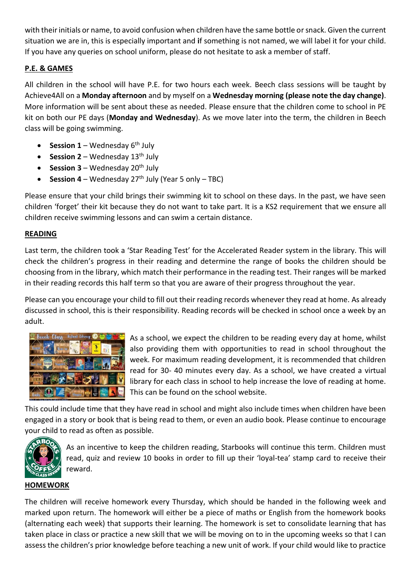with their initials or name, to avoid confusion when children have the same bottle or snack. Given the current situation we are in, this is especially important and **i**f something is not named, we will label it for your child. If you have any queries on school uniform, please do not hesitate to ask a member of staff.

# **P.E. & GAMES**

All children in the school will have P.E. for two hours each week. Beech class sessions will be taught by Achieve4All on a **Monday afternoon** and by myself on a **Wednesday morning (please note the day change)**. More information will be sent about these as needed. Please ensure that the children come to school in PE kit on both our PE days (**Monday and Wednesday**). As we move later into the term, the children in Beech class will be going swimming.

- **Session 1** Wednesday  $6<sup>th</sup>$  July
- **Session 2** Wednesday  $13<sup>th</sup>$  July
- **Session 3** Wednesday  $20<sup>th</sup>$  July
- **Session 4** Wednesday  $27<sup>th</sup>$  July (Year 5 only TBC)

Please ensure that your child brings their swimming kit to school on these days. In the past, we have seen children 'forget' their kit because they do not want to take part. It is a KS2 requirement that we ensure all children receive swimming lessons and can swim a certain distance.

## **READING**

Last term, the children took a 'Star Reading Test' for the Accelerated Reader system in the library. This will check the children's progress in their reading and determine the range of books the children should be choosing from in the library, which match their performance in the reading test. Their ranges will be marked in their reading records this half term so that you are aware of their progress throughout the year.

Please can you encourage your child to fill out their reading records whenever they read at home. As already discussed in school, this is their responsibility. Reading records will be checked in school once a week by an adult.



As a school, we expect the children to be reading every day at home, whilst also providing them with opportunities to read in school throughout the week. For maximum reading development, it is recommended that children read for 30- 40 minutes every day. As a school, we have created a virtual library for each class in school to help increase the love of reading at home. This can be found on the school website.

This could include time that they have read in school and might also include times when children have been engaged in a story or book that is being read to them, or even an audio book. Please continue to encourage your child to read as often as possible.



As an incentive to keep the children reading, Starbooks will continue this term. Children must read, quiz and review 10 books in order to fill up their 'loyal-tea' stamp card to receive their reward.

### **HOMEWORK**

The children will receive homework every Thursday, which should be handed in the following week and marked upon return. The homework will either be a piece of maths or English from the homework books (alternating each week) that supports their learning. The homework is set to consolidate learning that has taken place in class or practice a new skill that we will be moving on to in the upcoming weeks so that I can assess the children's prior knowledge before teaching a new unit of work. If your child would like to practice